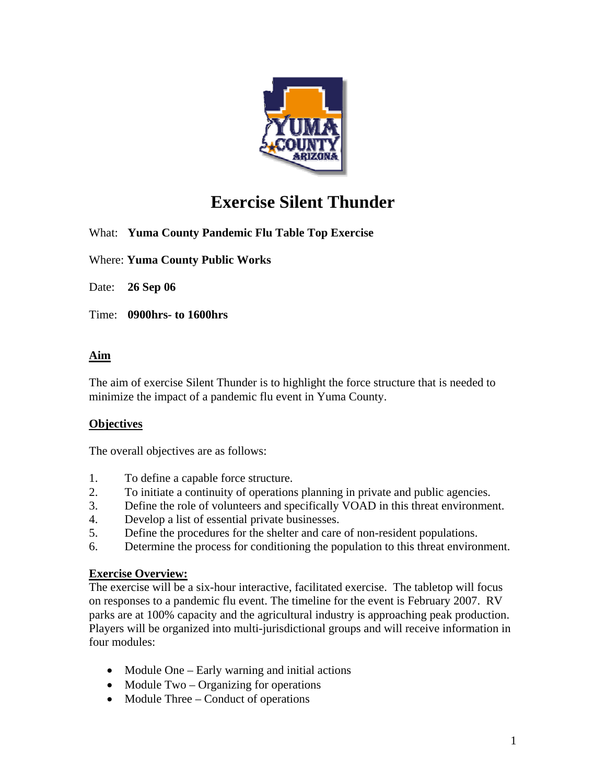

# **Exercise Silent Thunder**

What: **Yuma County Pandemic Flu Table Top Exercise** 

Where: **Yuma County Public Works** 

Date: **26 Sep 06** 

Time: **0900hrs- to 1600hrs**

### **Aim**

The aim of exercise Silent Thunder is to highlight the force structure that is needed to minimize the impact of a pandemic flu event in Yuma County.

### **Objectives**

The overall objectives are as follows:

- 1. To define a capable force structure.
- 2. To initiate a continuity of operations planning in private and public agencies.
- 3. Define the role of volunteers and specifically VOAD in this threat environment.
- 4. Develop a list of essential private businesses.
- 5. Define the procedures for the shelter and care of non-resident populations.
- 6. Determine the process for conditioning the population to this threat environment.

#### **Exercise Overview:**

The exercise will be a six-hour interactive, facilitated exercise. The tabletop will focus on responses to a pandemic flu event. The timeline for the event is February 2007. RV parks are at 100% capacity and the agricultural industry is approaching peak production. Players will be organized into multi-jurisdictional groups and will receive information in four modules:

- Module One Early warning and initial actions
- Module Two Organizing for operations
- Module Three Conduct of operations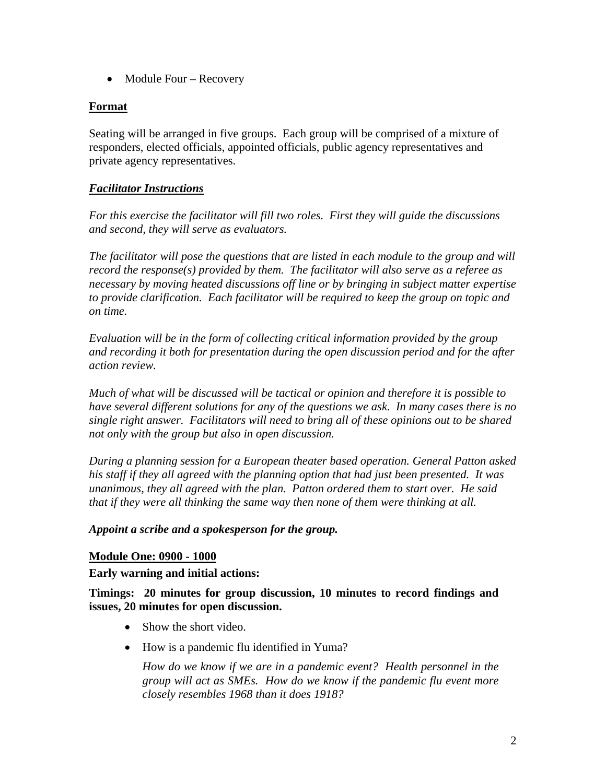• Module Four – Recovery

## **Format**

Seating will be arranged in five groups. Each group will be comprised of a mixture of responders, elected officials, appointed officials, public agency representatives and private agency representatives.

## *Facilitator Instructions*

*For this exercise the facilitator will fill two roles. First they will guide the discussions and second, they will serve as evaluators.* 

*The facilitator will pose the questions that are listed in each module to the group and will record the response(s) provided by them. The facilitator will also serve as a referee as necessary by moving heated discussions off line or by bringing in subject matter expertise to provide clarification. Each facilitator will be required to keep the group on topic and on time.* 

*Evaluation will be in the form of collecting critical information provided by the group and recording it both for presentation during the open discussion period and for the after action review.* 

*Much of what will be discussed will be tactical or opinion and therefore it is possible to have several different solutions for any of the questions we ask. In many cases there is no single right answer. Facilitators will need to bring all of these opinions out to be shared not only with the group but also in open discussion.* 

*During a planning session for a European theater based operation. General Patton asked his staff if they all agreed with the planning option that had just been presented. It was unanimous, they all agreed with the plan. Patton ordered them to start over. He said that if they were all thinking the same way then none of them were thinking at all.* 

### *Appoint a scribe and a spokesperson for the group.*

### **Module One: 0900 - 1000**

**Early warning and initial actions:** 

**Timings: 20 minutes for group discussion, 10 minutes to record findings and issues, 20 minutes for open discussion.** 

- Show the short video.
- How is a pandemic flu identified in Yuma?

*How do we know if we are in a pandemic event? Health personnel in the group will act as SMEs. How do we know if the pandemic flu event more closely resembles 1968 than it does 1918?*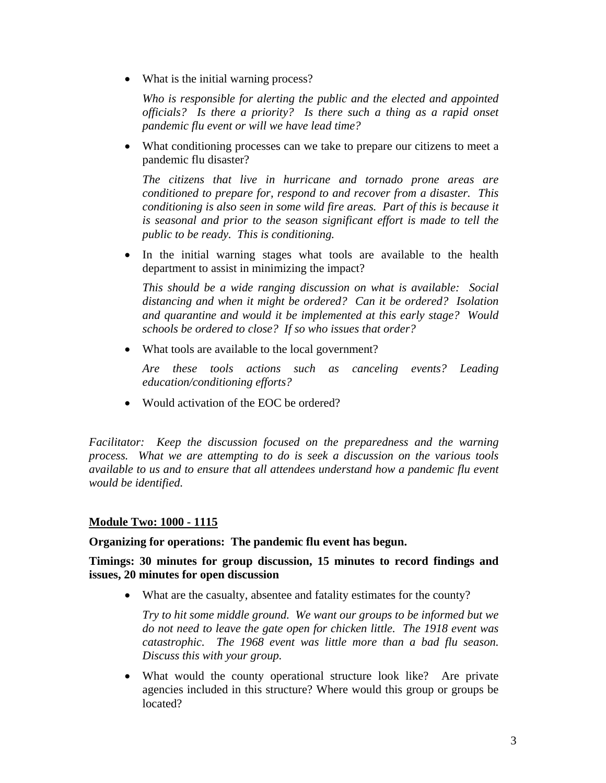• What is the initial warning process?

*Who is responsible for alerting the public and the elected and appointed officials? Is there a priority? Is there such a thing as a rapid onset pandemic flu event or will we have lead time?*

• What conditioning processes can we take to prepare our citizens to meet a pandemic flu disaster?

*The citizens that live in hurricane and tornado prone areas are conditioned to prepare for, respond to and recover from a disaster. This conditioning is also seen in some wild fire areas. Part of this is because it is seasonal and prior to the season significant effort is made to tell the public to be ready. This is conditioning.*

• In the initial warning stages what tools are available to the health department to assist in minimizing the impact?

*This should be a wide ranging discussion on what is available: Social distancing and when it might be ordered? Can it be ordered? Isolation and quarantine and would it be implemented at this early stage? Would schools be ordered to close? If so who issues that order?*

• What tools are available to the local government?

*Are these tools actions such as canceling events? Leading education/conditioning efforts?*

• Would activation of the EOC be ordered?

*Facilitator: Keep the discussion focused on the preparedness and the warning process. What we are attempting to do is seek a discussion on the various tools available to us and to ensure that all attendees understand how a pandemic flu event would be identified.*

### **Module Two: 1000 - 1115**

### **Organizing for operations: The pandemic flu event has begun.**

### **Timings: 30 minutes for group discussion, 15 minutes to record findings and issues, 20 minutes for open discussion**

• What are the casualty, absentee and fatality estimates for the county?

*Try to hit some middle ground. We want our groups to be informed but we do not need to leave the gate open for chicken little. The 1918 event was catastrophic. The 1968 event was little more than a bad flu season. Discuss this with your group.* 

• What would the county operational structure look like? Are private agencies included in this structure? Where would this group or groups be located?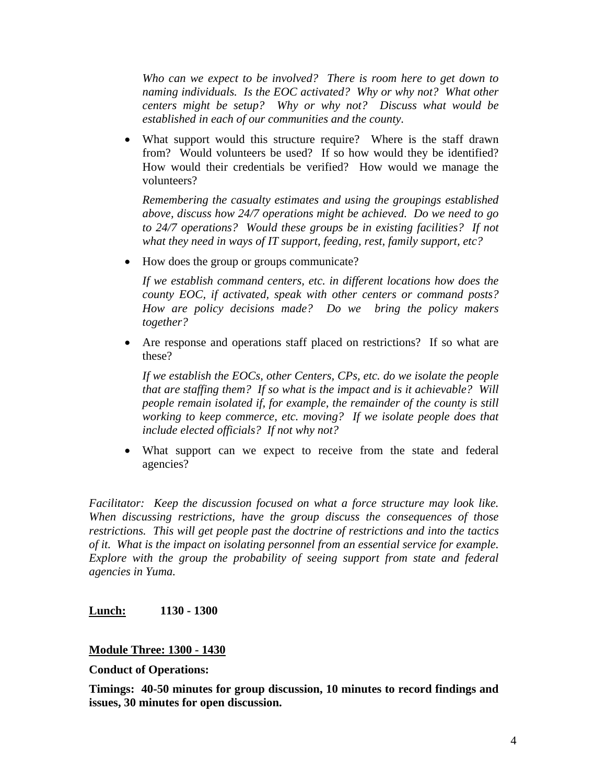*Who can we expect to be involved? There is room here to get down to naming individuals. Is the EOC activated? Why or why not? What other centers might be setup? Why or why not? Discuss what would be established in each of our communities and the county.*

• What support would this structure require? Where is the staff drawn from? Would volunteers be used? If so how would they be identified? How would their credentials be verified? How would we manage the volunteers?

*Remembering the casualty estimates and using the groupings established above, discuss how 24/7 operations might be achieved. Do we need to go to 24/7 operations? Would these groups be in existing facilities? If not what they need in ways of IT support, feeding, rest, family support, etc?* 

• How does the group or groups communicate?

*If we establish command centers, etc. in different locations how does the county EOC, if activated, speak with other centers or command posts? How are policy decisions made? Do we bring the policy makers together?* 

• Are response and operations staff placed on restrictions? If so what are these?

*If we establish the EOCs, other Centers, CPs, etc. do we isolate the people that are staffing them? If so what is the impact and is it achievable? Will people remain isolated if, for example, the remainder of the county is still working to keep commerce, etc. moving? If we isolate people does that include elected officials? If not why not?* 

• What support can we expect to receive from the state and federal agencies?

*Facilitator: Keep the discussion focused on what a force structure may look like. When discussing restrictions, have the group discuss the consequences of those restrictions. This will get people past the doctrine of restrictions and into the tactics of it. What is the impact on isolating personnel from an essential service for example. Explore with the group the probability of seeing support from state and federal agencies in Yuma.* 

### **Lunch: 1130 - 1300**

### **Module Three: 1300 - 1430**

**Conduct of Operations:** 

**Timings: 40-50 minutes for group discussion, 10 minutes to record findings and issues, 30 minutes for open discussion.**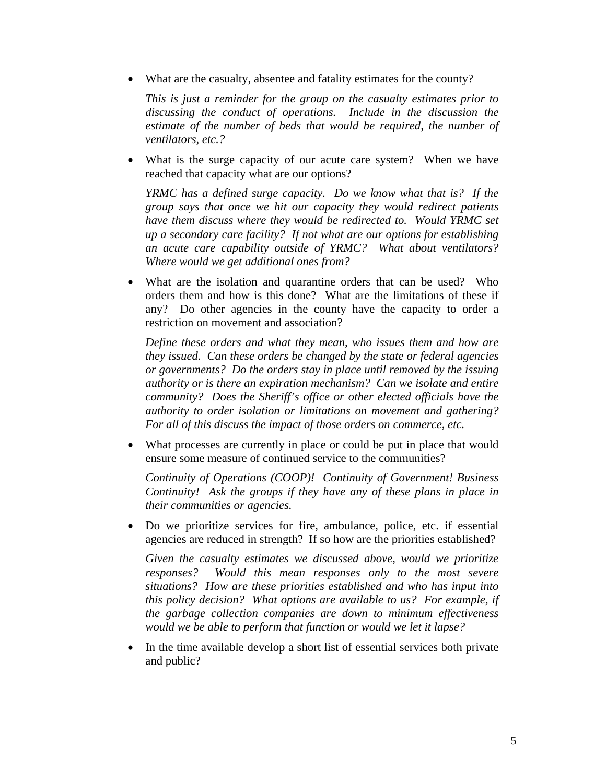• What are the casualty, absentee and fatality estimates for the county?

*This is just a reminder for the group on the casualty estimates prior to discussing the conduct of operations. Include in the discussion the estimate of the number of beds that would be required, the number of ventilators, etc.?* 

• What is the surge capacity of our acute care system? When we have reached that capacity what are our options?

*YRMC has a defined surge capacity. Do we know what that is? If the group says that once we hit our capacity they would redirect patients have them discuss where they would be redirected to. Would YRMC set up a secondary care facility? If not what are our options for establishing an acute care capability outside of YRMC? What about ventilators? Where would we get additional ones from?* 

What are the isolation and quarantine orders that can be used? Who orders them and how is this done? What are the limitations of these if any? Do other agencies in the county have the capacity to order a restriction on movement and association?

*Define these orders and what they mean, who issues them and how are they issued. Can these orders be changed by the state or federal agencies or governments? Do the orders stay in place until removed by the issuing authority or is there an expiration mechanism? Can we isolate and entire community? Does the Sheriff's office or other elected officials have the authority to order isolation or limitations on movement and gathering? For all of this discuss the impact of those orders on commerce, etc.* 

• What processes are currently in place or could be put in place that would ensure some measure of continued service to the communities?

*Continuity of Operations (COOP)! Continuity of Government! Business Continuity! Ask the groups if they have any of these plans in place in their communities or agencies.*

• Do we prioritize services for fire, ambulance, police, etc. if essential agencies are reduced in strength? If so how are the priorities established?

*Given the casualty estimates we discussed above, would we prioritize responses? Would this mean responses only to the most severe situations? How are these priorities established and who has input into this policy decision? What options are available to us? For example, if the garbage collection companies are down to minimum effectiveness would we be able to perform that function or would we let it lapse?*

• In the time available develop a short list of essential services both private and public?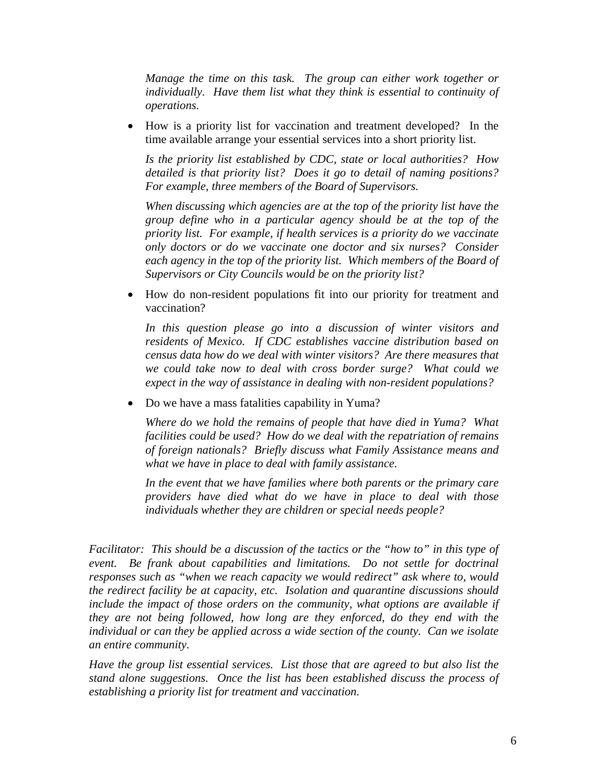*Manage the time on this task. The group can either work together or individually. Have them list what they think is essential to continuity of operations.* 

• How is a priority list for vaccination and treatment developed? In the time available arrange your essential services into a short priority list.

*Is the priority list established by CDC, state or local authorities? How detailed is that priority list? Does it go to detail of naming positions? For example, three members of the Board of Supervisors.* 

*When discussing which agencies are at the top of the priority list have the group define who in a particular agency should be at the top of the priority list. For example, if health services is a priority do we vaccinate only doctors or do we vaccinate one doctor and six nurses? Consider*  each agency in the top of the priority list. Which members of the Board of *Supervisors or City Councils would be on the priority list?* 

• How do non-resident populations fit into our priority for treatment and vaccination?

*In this question please go into a discussion of winter visitors and residents of Mexico. If CDC establishes vaccine distribution based on census data how do we deal with winter visitors? Are there measures that we could take now to deal with cross border surge? What could we expect in the way of assistance in dealing with non-resident populations?* 

• Do we have a mass fatalities capability in Yuma?

*Where do we hold the remains of people that have died in Yuma? What facilities could be used? How do we deal with the repatriation of remains of foreign nationals? Briefly discuss what Family Assistance means and what we have in place to deal with family assistance.* 

*In the event that we have families where both parents or the primary care providers have died what do we have in place to deal with those individuals whether they are children or special needs people?*

*Facilitator: This should be a discussion of the tactics or the "how to" in this type of event. Be frank about capabilities and limitations. Do not settle for doctrinal responses such as "when we reach capacity we would redirect" ask where to, would the redirect facility be at capacity, etc. Isolation and quarantine discussions should include the impact of those orders on the community, what options are available if they are not being followed, how long are they enforced, do they end with the individual or can they be applied across a wide section of the county. Can we isolate an entire community.* 

*Have the group list essential services. List those that are agreed to but also list the stand alone suggestions. Once the list has been established discuss the process of establishing a priority list for treatment and vaccination.*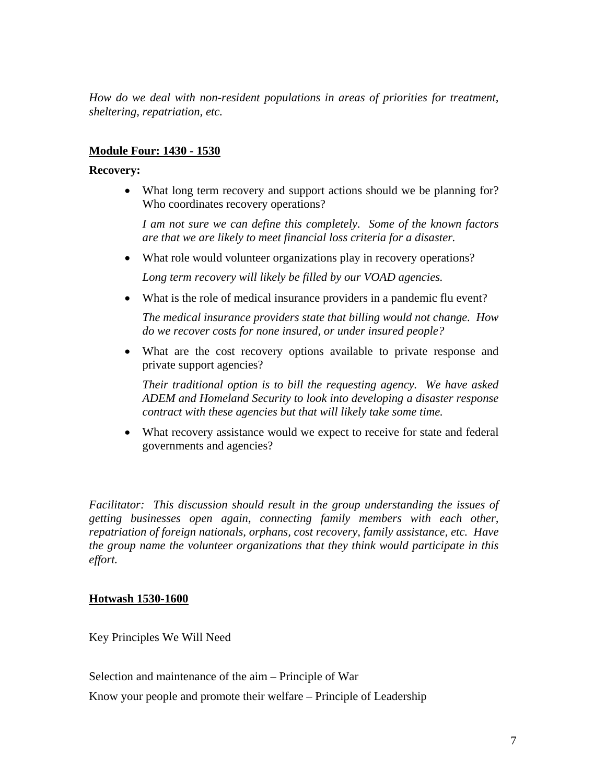*How do we deal with non-resident populations in areas of priorities for treatment, sheltering, repatriation, etc.* 

## **Module Four: 1430 - 1530**

#### **Recovery:**

• What long term recovery and support actions should we be planning for? Who coordinates recovery operations?

*I am not sure we can define this completely. Some of the known factors are that we are likely to meet financial loss criteria for a disaster.* 

• What role would volunteer organizations play in recovery operations?

*Long term recovery will likely be filled by our VOAD agencies.*

• What is the role of medical insurance providers in a pandemic flu event?

*The medical insurance providers state that billing would not change. How do we recover costs for none insured, or under insured people?*

• What are the cost recovery options available to private response and private support agencies?

*Their traditional option is to bill the requesting agency. We have asked ADEM and Homeland Security to look into developing a disaster response contract with these agencies but that will likely take some time.* 

• What recovery assistance would we expect to receive for state and federal governments and agencies?

*Facilitator: This discussion should result in the group understanding the issues of getting businesses open again, connecting family members with each other, repatriation of foreign nationals, orphans, cost recovery, family assistance, etc. Have the group name the volunteer organizations that they think would participate in this effort.* 

#### **Hotwash 1530-1600**

Key Principles We Will Need

Selection and maintenance of the aim – Principle of War

Know your people and promote their welfare – Principle of Leadership